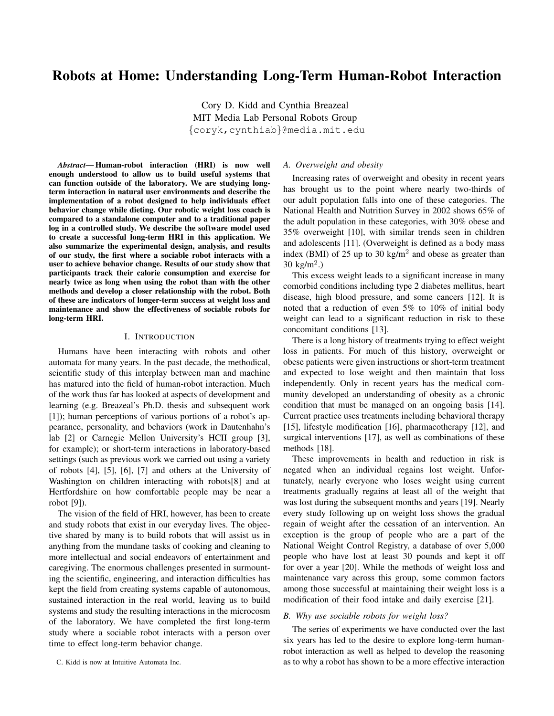# Robots at Home: Understanding Long-Term Human-Robot Interaction

Cory D. Kidd and Cynthia Breazeal MIT Media Lab Personal Robots Group {coryk,cynthiab}@media.mit.edu

*Abstract*— Human-robot interaction (HRI) is now well enough understood to allow us to build useful systems that can function outside of the laboratory. We are studying longterm interaction in natural user environments and describe the implementation of a robot designed to help individuals effect behavior change while dieting. Our robotic weight loss coach is compared to a standalone computer and to a traditional paper log in a controlled study. We describe the software model used to create a successful long-term HRI in this application. We also summarize the experimental design, analysis, and results of our study, the first where a sociable robot interacts with a user to achieve behavior change. Results of our study show that participants track their calorie consumption and exercise for nearly twice as long when using the robot than with the other methods and develop a closer relationship with the robot. Both of these are indicators of longer-term success at weight loss and maintenance and show the effectiveness of sociable robots for long-term HRI.

### I. INTRODUCTION

Humans have been interacting with robots and other automata for many years. In the past decade, the methodical, scientific study of this interplay between man and machine has matured into the field of human-robot interaction. Much of the work thus far has looked at aspects of development and learning (e.g. Breazeal's Ph.D. thesis and subsequent work [1]); human perceptions of various portions of a robot's appearance, personality, and behaviors (work in Dautenhahn's lab [2] or Carnegie Mellon University's HCII group [3], for example); or short-term interactions in laboratory-based settings (such as previous work we carried out using a variety of robots [4], [5], [6], [7] and others at the University of Washington on children interacting with robots[8] and at Hertfordshire on how comfortable people may be near a robot [9]).

The vision of the field of HRI, however, has been to create and study robots that exist in our everyday lives. The objective shared by many is to build robots that will assist us in anything from the mundane tasks of cooking and cleaning to more intellectual and social endeavors of entertainment and caregiving. The enormous challenges presented in surmounting the scientific, engineering, and interaction difficulties has kept the field from creating systems capable of autonomous, sustained interaction in the real world, leaving us to build systems and study the resulting interactions in the microcosm of the laboratory. We have completed the first long-term study where a sociable robot interacts with a person over time to effect long-term behavior change.

### *A. Overweight and obesity*

Increasing rates of overweight and obesity in recent years has brought us to the point where nearly two-thirds of our adult population falls into one of these categories. The National Health and Nutrition Survey in 2002 shows 65% of the adult population in these categories, with 30% obese and 35% overweight [10], with similar trends seen in children and adolescents [11]. (Overweight is defined as a body mass index (BMI) of 25 up to 30 kg/m<sup>2</sup> and obese as greater than 30  $\text{kg/m}^2$ .)

This excess weight leads to a significant increase in many comorbid conditions including type 2 diabetes mellitus, heart disease, high blood pressure, and some cancers [12]. It is noted that a reduction of even 5% to 10% of initial body weight can lead to a significant reduction in risk to these concomitant conditions [13].

There is a long history of treatments trying to effect weight loss in patients. For much of this history, overweight or obese patients were given instructions or short-term treatment and expected to lose weight and then maintain that loss independently. Only in recent years has the medical community developed an understanding of obesity as a chronic condition that must be managed on an ongoing basis [14]. Current practice uses treatments including behavioral therapy [15], lifestyle modification [16], pharmacotherapy [12], and surgical interventions [17], as well as combinations of these methods [18].

These improvements in health and reduction in risk is negated when an individual regains lost weight. Unfortunately, nearly everyone who loses weight using current treatments gradually regains at least all of the weight that was lost during the subsequent months and years [19]. Nearly every study following up on weight loss shows the gradual regain of weight after the cessation of an intervention. An exception is the group of people who are a part of the National Weight Control Registry, a database of over 5,000 people who have lost at least 30 pounds and kept it off for over a year [20]. While the methods of weight loss and maintenance vary across this group, some common factors among those successful at maintaining their weight loss is a modification of their food intake and daily exercise [21].

### *B. Why use sociable robots for weight loss?*

The series of experiments we have conducted over the last six years has led to the desire to explore long-term humanrobot interaction as well as helped to develop the reasoning as to why a robot has shown to be a more effective interaction

C. Kidd is now at Intuitive Automata Inc.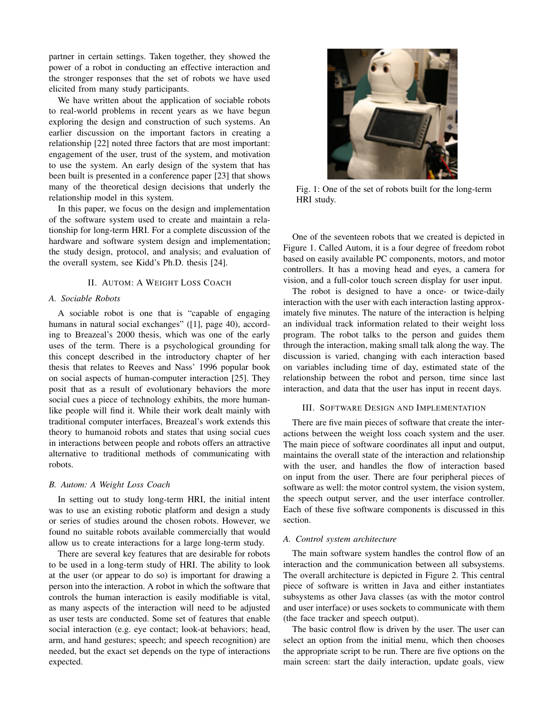partner in certain settings. Taken together, they showed the power of a robot in conducting an effective interaction and the stronger responses that the set of robots we have used elicited from many study participants.

We have written about the application of sociable robots to real-world problems in recent years as we have begun exploring the design and construction of such systems. An earlier discussion on the important factors in creating a relationship [22] noted three factors that are most important: engagement of the user, trust of the system, and motivation to use the system. An early design of the system that has been built is presented in a conference paper [23] that shows many of the theoretical design decisions that underly the relationship model in this system.

In this paper, we focus on the design and implementation of the software system used to create and maintain a relationship for long-term HRI. For a complete discussion of the hardware and software system design and implementation; the study design, protocol, and analysis; and evaluation of the overall system, see Kidd's Ph.D. thesis [24].

## II. AUTOM: A WEIGHT LOSS COACH

## *A. Sociable Robots*

A sociable robot is one that is "capable of engaging humans in natural social exchanges" ([1], page 40), according to Breazeal's 2000 thesis, which was one of the early uses of the term. There is a psychological grounding for this concept described in the introductory chapter of her thesis that relates to Reeves and Nass' 1996 popular book on social aspects of human-computer interaction [25]. They posit that as a result of evolutionary behaviors the more social cues a piece of technology exhibits, the more humanlike people will find it. While their work dealt mainly with traditional computer interfaces, Breazeal's work extends this theory to humanoid robots and states that using social cues in interactions between people and robots offers an attractive alternative to traditional methods of communicating with robots.

### *B. Autom: A Weight Loss Coach*

In setting out to study long-term HRI, the initial intent was to use an existing robotic platform and design a study or series of studies around the chosen robots. However, we found no suitable robots available commercially that would allow us to create interactions for a large long-term study.

There are several key features that are desirable for robots to be used in a long-term study of HRI. The ability to look at the user (or appear to do so) is important for drawing a person into the interaction. A robot in which the software that controls the human interaction is easily modifiable is vital, as many aspects of the interaction will need to be adjusted as user tests are conducted. Some set of features that enable social interaction (e.g. eye contact; look-at behaviors; head, arm, and hand gestures; speech; and speech recognition) are needed, but the exact set depends on the type of interactions expected.



Fig. 1: One of the set of robots built for the long-term HRI study.

One of the seventeen robots that we created is depicted in Figure 1. Called Autom, it is a four degree of freedom robot based on easily available PC components, motors, and motor controllers. It has a moving head and eyes, a camera for vision, and a full-color touch screen display for user input.

The robot is designed to have a once- or twice-daily interaction with the user with each interaction lasting approximately five minutes. The nature of the interaction is helping an individual track information related to their weight loss program. The robot talks to the person and guides them through the interaction, making small talk along the way. The discussion is varied, changing with each interaction based on variables including time of day, estimated state of the relationship between the robot and person, time since last interaction, and data that the user has input in recent days.

### III. SOFTWARE DESIGN AND IMPLEMENTATION

There are five main pieces of software that create the interactions between the weight loss coach system and the user. The main piece of software coordinates all input and output, maintains the overall state of the interaction and relationship with the user, and handles the flow of interaction based on input from the user. There are four peripheral pieces of software as well: the motor control system, the vision system, the speech output server, and the user interface controller. Each of these five software components is discussed in this section.

### *A. Control system architecture*

The main software system handles the control flow of an interaction and the communication between all subsystems. The overall architecture is depicted in Figure 2. This central piece of software is written in Java and either instantiates subsystems as other Java classes (as with the motor control and user interface) or uses sockets to communicate with them (the face tracker and speech output).

The basic control flow is driven by the user. The user can select an option from the initial menu, which then chooses the appropriate script to be run. There are five options on the main screen: start the daily interaction, update goals, view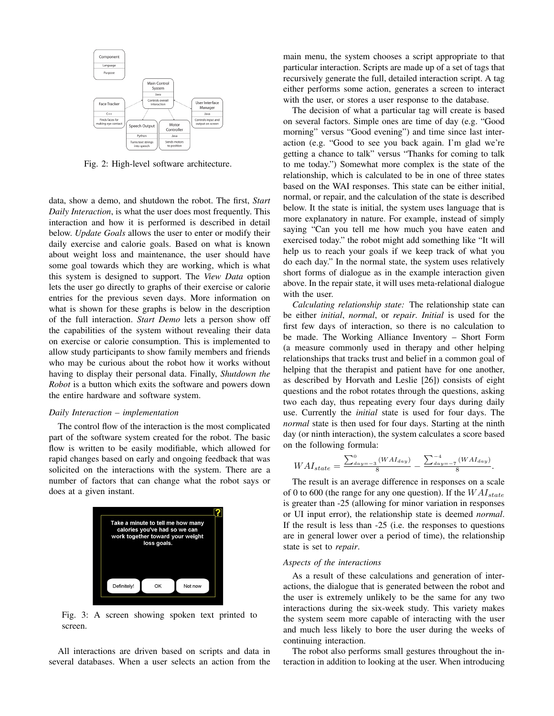

Fig. 2: High-level software architecture.

data, show a demo, and shutdown the robot. The first, *Start Daily Interaction*, is what the user does most frequently. This interaction and how it is performed is described in detail below. *Update Goals* allows the user to enter or modify their daily exercise and calorie goals. Based on what is known about weight loss and maintenance, the user should have some goal towards which they are working, which is what this system is designed to support. The *View Data* option lets the user go directly to graphs of their exercise or calorie entries for the previous seven days. More information on what is shown for these graphs is below in the description of the full interaction. *Start Demo* lets a person show off the capabilities of the system without revealing their data on exercise or calorie consumption. This is implemented to allow study participants to show family members and friends who may be curious about the robot how it works without having to display their personal data. Finally, *Shutdown the Robot* is a button which exits the software and powers down the entire hardware and software system.

### *Daily Interaction – implementation*

The control flow of the interaction is the most complicated part of the software system created for the robot. The basic flow is written to be easily modifiable, which allowed for rapid changes based on early and ongoing feedback that was solicited on the interactions with the system. There are a number of factors that can change what the robot says or does at a given instant.



Fig. 3: A screen showing spoken text printed to screen.

All interactions are driven based on scripts and data in several databases. When a user selects an action from the main menu, the system chooses a script appropriate to that particular interaction. Scripts are made up of a set of tags that recursively generate the full, detailed interaction script. A tag either performs some action, generates a screen to interact with the user, or stores a user response to the database.

The decision of what a particular tag will create is based on several factors. Simple ones are time of day (e.g. "Good morning" versus "Good evening") and time since last interaction (e.g. "Good to see you back again. I'm glad we're getting a chance to talk" versus "Thanks for coming to talk to me today.") Somewhat more complex is the state of the relationship, which is calculated to be in one of three states based on the WAI responses. This state can be either initial, normal, or repair, and the calculation of the state is described below. It the state is initial, the system uses language that is more explanatory in nature. For example, instead of simply saying "Can you tell me how much you have eaten and exercised today." the robot might add something like "It will help us to reach your goals if we keep track of what you do each day." In the normal state, the system uses relatively short forms of dialogue as in the example interaction given above. In the repair state, it will uses meta-relational dialogue with the user.

*Calculating relationship state:* The relationship state can be either *initial*, *normal*, or *repair*. *Initial* is used for the first few days of interaction, so there is no calculation to be made. The Working Alliance Inventory – Short Form (a measure commonly used in therapy and other helping relationships that tracks trust and belief in a common goal of helping that the therapist and patient have for one another, as described by Horvath and Leslie [26]) consists of eight questions and the robot rotates through the questions, asking two each day, thus repeating every four days during daily use. Currently the *initial* state is used for four days. The *normal* state is then used for four days. Starting at the ninth day (or ninth interaction), the system calculates a score based on the following formula:

$$
WAI_{state} = \frac{\sum_{day=-3}^{0} (WAI_{day})}{8} - \frac{\sum_{day=-7}^{-4} (WAI_{day})}{8}.
$$

The result is an average difference in responses on a scale of 0 to 600 (the range for any one question). If the  $WAI_{state}$ is greater than -25 (allowing for minor variation in responses or UI input error), the relationship state is deemed *normal*. If the result is less than -25 (i.e. the responses to questions are in general lower over a period of time), the relationship state is set to *repair*.

#### *Aspects of the interactions*

As a result of these calculations and generation of interactions, the dialogue that is generated between the robot and the user is extremely unlikely to be the same for any two interactions during the six-week study. This variety makes the system seem more capable of interacting with the user and much less likely to bore the user during the weeks of continuing interaction.

The robot also performs small gestures throughout the interaction in addition to looking at the user. When introducing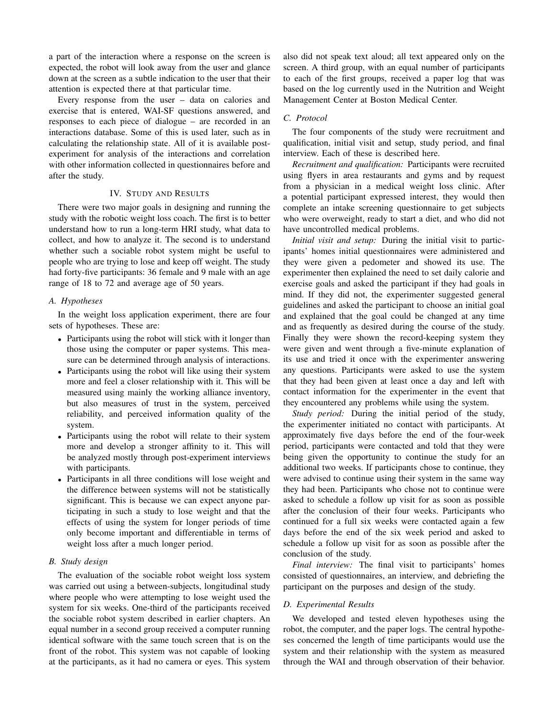a part of the interaction where a response on the screen is expected, the robot will look away from the user and glance down at the screen as a subtle indication to the user that their attention is expected there at that particular time.

Every response from the user – data on calories and exercise that is entered, WAI-SF questions answered, and responses to each piece of dialogue – are recorded in an interactions database. Some of this is used later, such as in calculating the relationship state. All of it is available postexperiment for analysis of the interactions and correlation with other information collected in questionnaires before and after the study.

### IV. STUDY AND RESULTS

There were two major goals in designing and running the study with the robotic weight loss coach. The first is to better understand how to run a long-term HRI study, what data to collect, and how to analyze it. The second is to understand whether such a sociable robot system might be useful to people who are trying to lose and keep off weight. The study had forty-five participants: 36 female and 9 male with an age range of 18 to 72 and average age of 50 years.

### *A. Hypotheses*

In the weight loss application experiment, there are four sets of hypotheses. These are:

- Participants using the robot will stick with it longer than those using the computer or paper systems. This measure can be determined through analysis of interactions.
- Participants using the robot will like using their system more and feel a closer relationship with it. This will be measured using mainly the working alliance inventory, but also measures of trust in the system, perceived reliability, and perceived information quality of the system.
- Participants using the robot will relate to their system more and develop a stronger affinity to it. This will be analyzed mostly through post-experiment interviews with participants.
- Participants in all three conditions will lose weight and the difference between systems will not be statistically significant. This is because we can expect anyone participating in such a study to lose weight and that the effects of using the system for longer periods of time only become important and differentiable in terms of weight loss after a much longer period.

# *B. Study design*

The evaluation of the sociable robot weight loss system was carried out using a between-subjects, longitudinal study where people who were attempting to lose weight used the system for six weeks. One-third of the participants received the sociable robot system described in earlier chapters. An equal number in a second group received a computer running identical software with the same touch screen that is on the front of the robot. This system was not capable of looking at the participants, as it had no camera or eyes. This system also did not speak text aloud; all text appeared only on the screen. A third group, with an equal number of participants to each of the first groups, received a paper log that was based on the log currently used in the Nutrition and Weight Management Center at Boston Medical Center.

### *C. Protocol*

The four components of the study were recruitment and qualification, initial visit and setup, study period, and final interview. Each of these is described here.

*Recruitment and qualification:* Participants were recruited using flyers in area restaurants and gyms and by request from a physician in a medical weight loss clinic. After a potential participant expressed interest, they would then complete an intake screening questionnaire to get subjects who were overweight, ready to start a diet, and who did not have uncontrolled medical problems.

*Initial visit and setup:* During the initial visit to participants' homes initial questionnaires were administered and they were given a pedometer and showed its use. The experimenter then explained the need to set daily calorie and exercise goals and asked the participant if they had goals in mind. If they did not, the experimenter suggested general guidelines and asked the participant to choose an initial goal and explained that the goal could be changed at any time and as frequently as desired during the course of the study. Finally they were shown the record-keeping system they were given and went through a five-minute explanation of its use and tried it once with the experimenter answering any questions. Participants were asked to use the system that they had been given at least once a day and left with contact information for the experimenter in the event that they encountered any problems while using the system.

*Study period:* During the initial period of the study, the experimenter initiated no contact with participants. At approximately five days before the end of the four-week period, participants were contacted and told that they were being given the opportunity to continue the study for an additional two weeks. If participants chose to continue, they were advised to continue using their system in the same way they had been. Participants who chose not to continue were asked to schedule a follow up visit for as soon as possible after the conclusion of their four weeks. Participants who continued for a full six weeks were contacted again a few days before the end of the six week period and asked to schedule a follow up visit for as soon as possible after the conclusion of the study.

*Final interview:* The final visit to participants' homes consisted of questionnaires, an interview, and debriefing the participant on the purposes and design of the study.

### *D. Experimental Results*

We developed and tested eleven hypotheses using the robot, the computer, and the paper logs. The central hypotheses concerned the length of time participants would use the system and their relationship with the system as measured through the WAI and through observation of their behavior.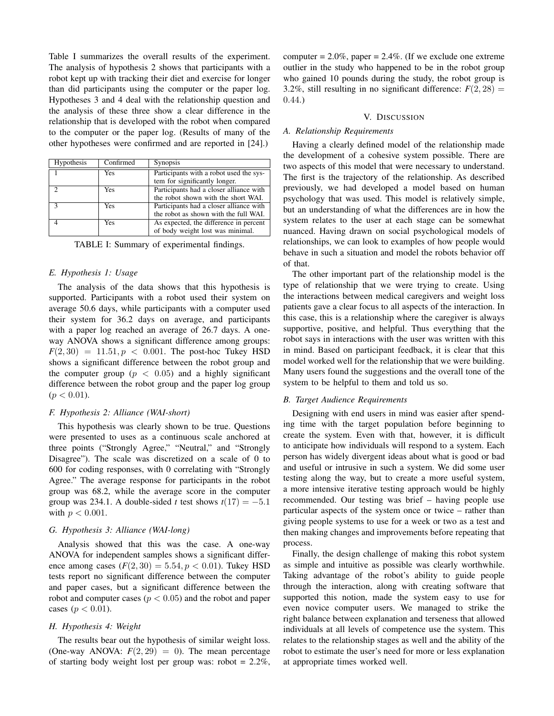Table I summarizes the overall results of the experiment. The analysis of hypothesis 2 shows that participants with a robot kept up with tracking their diet and exercise for longer than did participants using the computer or the paper log. Hypotheses 3 and 4 deal with the relationship question and the analysis of these three show a clear difference in the relationship that is developed with the robot when compared to the computer or the paper log. (Results of many of the other hypotheses were confirmed and are reported in [24].)

| Hypothesis   | Confirmed | Synopsis                                                                         |
|--------------|-----------|----------------------------------------------------------------------------------|
|              | Yes       | Participants with a robot used the sys-<br>tem for significantly longer.         |
|              | Yes       | Participants had a closer alliance with<br>the robot shown with the short WAI.   |
| $\mathbf{a}$ | Yes       | Participants had a closer alliance with<br>the robot as shown with the full WAI. |
|              | Yes       | As expected, the difference in percent<br>of body weight lost was minimal.       |

TABLE I: Summary of experimental findings.

### *E. Hypothesis 1: Usage*

The analysis of the data shows that this hypothesis is supported. Participants with a robot used their system on average 50.6 days, while participants with a computer used their system for 36.2 days on average, and participants with a paper log reached an average of 26.7 days. A oneway ANOVA shows a significant difference among groups:  $F(2, 30) = 11.51, p < 0.001$ . The post-hoc Tukey HSD shows a significant difference between the robot group and the computer group ( $p < 0.05$ ) and a highly significant difference between the robot group and the paper log group  $(p < 0.01)$ .

### *F. Hypothesis 2: Alliance (WAI-short)*

This hypothesis was clearly shown to be true. Questions were presented to uses as a continuous scale anchored at three points ("Strongly Agree," "Neutral," and "Strongly Disagree"). The scale was discretized on a scale of 0 to 600 for coding responses, with 0 correlating with "Strongly Agree." The average response for participants in the robot group was 68.2, while the average score in the computer group was 234.1. A double-sided *t* test shows  $t(17) = -5.1$ with  $p < 0.001$ .

### *G. Hypothesis 3: Alliance (WAI-long)*

Analysis showed that this was the case. A one-way ANOVA for independent samples shows a significant difference among cases  $(F(2, 30) = 5.54, p < 0.01)$ . Tukey HSD tests report no significant difference between the computer and paper cases, but a significant difference between the robot and computer cases ( $p < 0.05$ ) and the robot and paper cases  $(p < 0.01)$ .

### *H. Hypothesis 4: Weight*

The results bear out the hypothesis of similar weight loss. (One-way ANOVA:  $F(2, 29) = 0$ ). The mean percentage of starting body weight lost per group was: robot  $= 2.2\%$ , computer =  $2.0\%$ , paper =  $2.4\%$ . (If we exclude one extreme outlier in the study who happened to be in the robot group who gained 10 pounds during the study, the robot group is 3.2%, still resulting in no significant difference:  $F(2, 28) =$ 0.44.)

### V. DISCUSSION

#### *A. Relationship Requirements*

Having a clearly defined model of the relationship made the development of a cohesive system possible. There are two aspects of this model that were necessary to understand. The first is the trajectory of the relationship. As described previously, we had developed a model based on human psychology that was used. This model is relatively simple, but an understanding of what the differences are in how the system relates to the user at each stage can be somewhat nuanced. Having drawn on social psychological models of relationships, we can look to examples of how people would behave in such a situation and model the robots behavior off of that.

The other important part of the relationship model is the type of relationship that we were trying to create. Using the interactions between medical caregivers and weight loss patients gave a clear focus to all aspects of the interaction. In this case, this is a relationship where the caregiver is always supportive, positive, and helpful. Thus everything that the robot says in interactions with the user was written with this in mind. Based on participant feedback, it is clear that this model worked well for the relationship that we were building. Many users found the suggestions and the overall tone of the system to be helpful to them and told us so.

#### *B. Target Audience Requirements*

Designing with end users in mind was easier after spending time with the target population before beginning to create the system. Even with that, however, it is difficult to anticipate how individuals will respond to a system. Each person has widely divergent ideas about what is good or bad and useful or intrusive in such a system. We did some user testing along the way, but to create a more useful system, a more intensive iterative testing approach would be highly recommended. Our testing was brief – having people use particular aspects of the system once or twice – rather than giving people systems to use for a week or two as a test and then making changes and improvements before repeating that process.

Finally, the design challenge of making this robot system as simple and intuitive as possible was clearly worthwhile. Taking advantage of the robot's ability to guide people through the interaction, along with creating software that supported this notion, made the system easy to use for even novice computer users. We managed to strike the right balance between explanation and terseness that allowed individuals at all levels of competence use the system. This relates to the relationship stages as well and the ability of the robot to estimate the user's need for more or less explanation at appropriate times worked well.